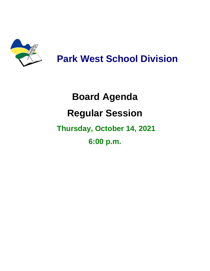

## **Park West School Division**

# **Board Agenda Regular Session Thursday, October 14, 2021 6:00 p.m.**